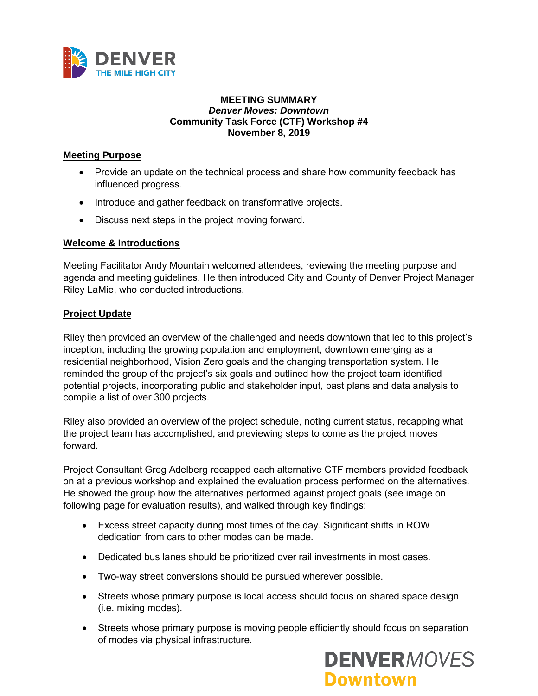

#### **MEETING SUMMARY** *Denver Moves: Downtown* **Community Task Force (CTF) Workshop #4 November 8, 2019**

#### **Meeting Purpose**

- Provide an update on the technical process and share how community feedback has influenced progress.
- Introduce and gather feedback on transformative projects.
- Discuss next steps in the project moving forward.

# **Welcome & Introductions**

Meeting Facilitator Andy Mountain welcomed attendees, reviewing the meeting purpose and agenda and meeting guidelines. He then introduced City and County of Denver Project Manager Riley LaMie, who conducted introductions.

# **Project Update**

Riley then provided an overview of the challenged and needs downtown that led to this project's inception, including the growing population and employment, downtown emerging as a residential neighborhood, Vision Zero goals and the changing transportation system. He reminded the group of the project's six goals and outlined how the project team identified potential projects, incorporating public and stakeholder input, past plans and data analysis to compile a list of over 300 projects.

Riley also provided an overview of the project schedule, noting current status, recapping what the project team has accomplished, and previewing steps to come as the project moves forward.

Project Consultant Greg Adelberg recapped each alternative CTF members provided feedback on at a previous workshop and explained the evaluation process performed on the alternatives. He showed the group how the alternatives performed against project goals (see image on following page for evaluation results), and walked through key findings:

- Excess street capacity during most times of the day. Significant shifts in ROW dedication from cars to other modes can be made.
- Dedicated bus lanes should be prioritized over rail investments in most cases.
- Two-way street conversions should be pursued wherever possible.
- Streets whose primary purpose is local access should focus on shared space design (i.e. mixing modes).
- Streets whose primary purpose is moving people efficiently should focus on separation of modes via physical infrastructure.

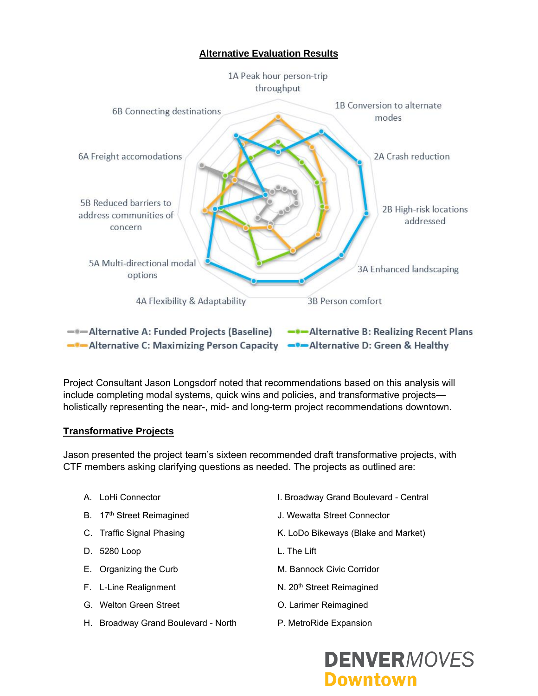# **Alternative Evaluation Results**



- Alternative C: Maximizing Person Capacity - Alternative D: Green & Healthy

Project Consultant Jason Longsdorf noted that recommendations based on this analysis will include completing modal systems, quick wins and policies, and transformative projects holistically representing the near-, mid- and long-term project recommendations downtown.

#### **Transformative Projects**

Jason presented the project team's sixteen recommended draft transformative projects, with CTF members asking clarifying questions as needed. The projects as outlined are:

- 
- 
- 
- D. 5280 Loop L. The Lift
- 
- 
- G. Welton Green Street Contract Contract Contract Contract Contract Contract Contract Contract Contract Contract Contract Contract Contract Contract Contract Contract Contract Contract Contract Contract Contract Contract C
- H. Broadway Grand Boulevard North P. MetroRide Expansion
- A. LoHi Connector **I. Broadway Grand Boulevard Central**
- B. 17<sup>th</sup> Street Reimagined **J. Wewatta Street Connector**
- C. Traffic Signal Phasing The Summan St. LoDo Bikeways (Blake and Market)
	-
- E. Organizing the Curb M. Bannock Civic Corridor
- F. L-Line Realignment N. 20<sup>th</sup> Street Reimagined
	-
	-

# **DENVERMOVES Downtown**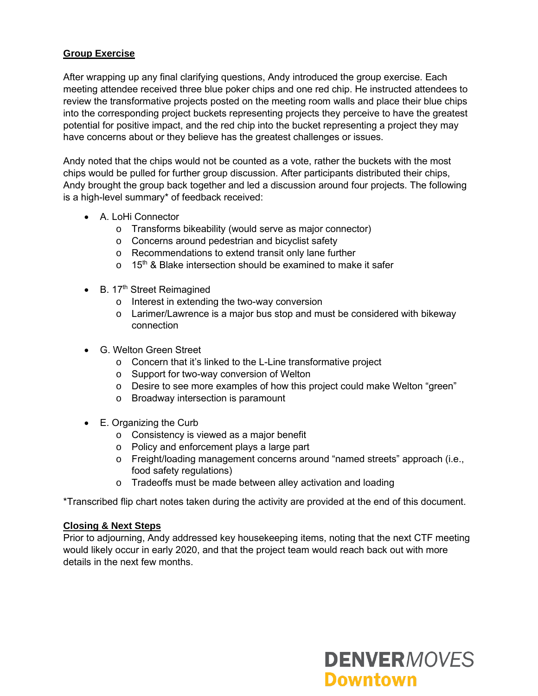# **Group Exercise**

After wrapping up any final clarifying questions, Andy introduced the group exercise. Each meeting attendee received three blue poker chips and one red chip. He instructed attendees to review the transformative projects posted on the meeting room walls and place their blue chips into the corresponding project buckets representing projects they perceive to have the greatest potential for positive impact, and the red chip into the bucket representing a project they may have concerns about or they believe has the greatest challenges or issues.

Andy noted that the chips would not be counted as a vote, rather the buckets with the most chips would be pulled for further group discussion. After participants distributed their chips, Andy brought the group back together and led a discussion around four projects. The following is a high-level summary\* of feedback received:

- A. LoHi Connector
	- o Transforms bikeability (would serve as major connector)
	- o Concerns around pedestrian and bicyclist safety
	- o Recommendations to extend transit only lane further
	- $\circ$  15<sup>th</sup> & Blake intersection should be examined to make it safer
- $\bullet$  B. 17<sup>th</sup> Street Reimagined
	- o Interest in extending the two-way conversion
	- o Larimer/Lawrence is a major bus stop and must be considered with bikeway connection
- G. Welton Green Street
	- o Concern that it's linked to the L-Line transformative project
	- o Support for two-way conversion of Welton
	- o Desire to see more examples of how this project could make Welton "green"
	- o Broadway intersection is paramount
- E. Organizing the Curb
	- o Consistency is viewed as a major benefit
	- o Policy and enforcement plays a large part
	- o Freight/loading management concerns around "named streets" approach (i.e., food safety regulations)
	- o Tradeoffs must be made between alley activation and loading

\*Transcribed flip chart notes taken during the activity are provided at the end of this document.

#### **Closing & Next Steps**

Prior to adjourning, Andy addressed key housekeeping items, noting that the next CTF meeting would likely occur in early 2020, and that the project team would reach back out with more details in the next few months.

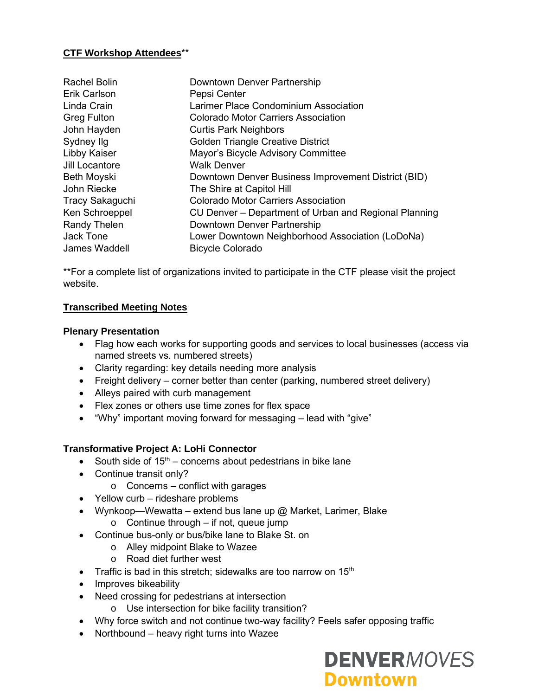# **CTF Workshop Attendees**\*\*

| Rachel Bolin           | Downtown Denver Partnership                           |
|------------------------|-------------------------------------------------------|
| Erik Carlson           | Pepsi Center                                          |
| Linda Crain            | Larimer Place Condominium Association                 |
| <b>Greg Fulton</b>     | <b>Colorado Motor Carriers Association</b>            |
| John Hayden            | <b>Curtis Park Neighbors</b>                          |
| Sydney Ilg             | <b>Golden Triangle Creative District</b>              |
| Libby Kaiser           | Mayor's Bicycle Advisory Committee                    |
| Jill Locantore         | <b>Walk Denver</b>                                    |
| <b>Beth Moyski</b>     | Downtown Denver Business Improvement District (BID)   |
| John Riecke            | The Shire at Capitol Hill                             |
| <b>Tracy Sakaguchi</b> | Colorado Motor Carriers Association                   |
| Ken Schroeppel         | CU Denver – Department of Urban and Regional Planning |
| <b>Randy Thelen</b>    | Downtown Denver Partnership                           |
| Jack Tone              | Lower Downtown Neighborhood Association (LoDoNa)      |
| James Waddell          | <b>Bicycle Colorado</b>                               |

\*\*For a complete list of organizations invited to participate in the CTF please visit the project website.

# **Transcribed Meeting Notes**

# **Plenary Presentation**

- Flag how each works for supporting goods and services to local businesses (access via named streets vs. numbered streets)
- Clarity regarding: key details needing more analysis
- Freight delivery corner better than center (parking, numbered street delivery)
- Alleys paired with curb management
- Flex zones or others use time zones for flex space
- "Why" important moving forward for messaging lead with "give"

# **Transformative Project A: LoHi Connector**

- South side of  $15<sup>th</sup>$  concerns about pedestrians in bike lane
- Continue transit only?
	- $\circ$  Concerns conflict with garages
- Yellow curb rideshare problems
- Wynkoop—Wewatta extend bus lane up  $@$  Market, Larimer, Blake  $\circ$  Continue through – if not, queue jump
- Continue bus-only or bus/bike lane to Blake St. on
	- o Alley midpoint Blake to Wazee
	- o Road diet further west
- Traffic is bad in this stretch; sidewalks are too narrow on  $15<sup>th</sup>$
- Improves bikeability
- Need crossing for pedestrians at intersection
	- o Use intersection for bike facility transition?
- Why force switch and not continue two-way facility? Feels safer opposing traffic
- Northbound heavy right turns into Wazee